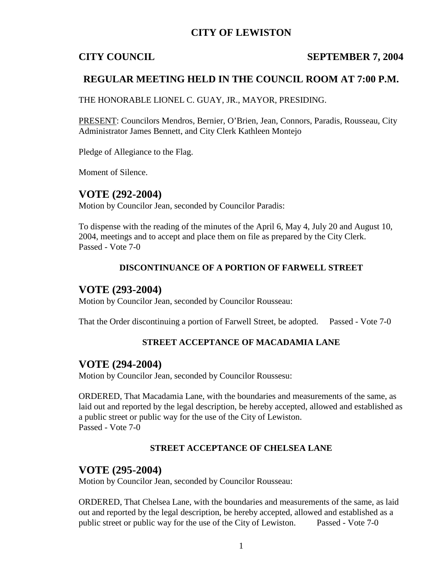# **CITY OF LEWISTON**

### **CITY COUNCIL SEPTEMBER 7, 2004**

## **REGULAR MEETING HELD IN THE COUNCIL ROOM AT 7:00 P.M.**

THE HONORABLE LIONEL C. GUAY, JR., MAYOR, PRESIDING.

PRESENT: Councilors Mendros, Bernier, O'Brien, Jean, Connors, Paradis, Rousseau, City Administrator James Bennett, and City Clerk Kathleen Montejo

Pledge of Allegiance to the Flag.

Moment of Silence.

## **VOTE (292-2004)**

Motion by Councilor Jean, seconded by Councilor Paradis:

To dispense with the reading of the minutes of the April 6, May 4, July 20 and August 10, 2004, meetings and to accept and place them on file as prepared by the City Clerk. Passed - Vote 7-0

### **DISCONTINUANCE OF A PORTION OF FARWELL STREET**

### **VOTE (293-2004)**

Motion by Councilor Jean, seconded by Councilor Rousseau:

That the Order discontinuing a portion of Farwell Street, be adopted. Passed - Vote 7-0

### **STREET ACCEPTANCE OF MACADAMIA LANE**

### **VOTE (294-2004)**

Motion by Councilor Jean, seconded by Councilor Roussesu:

ORDERED, That Macadamia Lane, with the boundaries and measurements of the same, as laid out and reported by the legal description, be hereby accepted, allowed and established as a public street or public way for the use of the City of Lewiston. Passed - Vote 7-0

### **STREET ACCEPTANCE OF CHELSEA LANE**

### **VOTE (295-2004)**

Motion by Councilor Jean, seconded by Councilor Rousseau:

ORDERED, That Chelsea Lane, with the boundaries and measurements of the same, as laid out and reported by the legal description, be hereby accepted, allowed and established as a public street or public way for the use of the City of Lewiston. Passed - Vote 7-0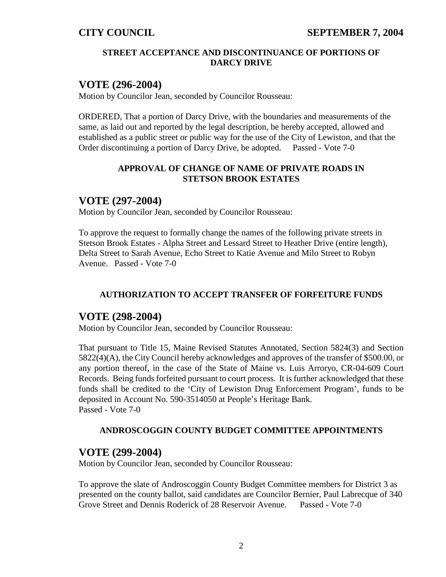### **STREET ACCEPTANCE AND DISCONTINUANCE OF PORTIONS OF DARCY DRIVE**

## **VOTE (296-2004)**

Motion by Councilor Jean, seconded by Councilor Rousseau:

ORDERED, That a portion of Darcy Drive, with the boundaries and measurements of the same, as laid out and reported by the legal description, be hereby accepted, allowed and established as a public street or public way for the use of the City of Lewiston, and that the Order discontinuing a portion of Darcy Drive, be adopted. Passed - Vote 7-0

### **APPROVAL OF CHANGE OF NAME OF PRIVATE ROADS IN STETSON BROOK ESTATES**

## **VOTE (297-2004)**

Motion by Councilor Jean, seconded by Councilor Rousseau:

To approve the request to formally change the names of the following private streets in Stetson Brook Estates - Alpha Street and Lessard Street to Heather Drive (entire length), Delta Street to Sarah Avenue, Echo Street to Katie Avenue and Milo Street to Robyn Avenue. Passed - Vote 7-0

### **AUTHORIZATION TO ACCEPT TRANSFER OF FORFEITURE FUNDS**

## **VOTE (298-2004)**

Motion by Councilor Jean, seconded by Councilor Rousseau:

That pursuant to Title 15, Maine Revised Statutes Annotated, Section 5824(3) and Section 5822(4)(A), the City Council hereby acknowledges and approves of the transfer of \$500.00, or any portion thereof, in the case of the State of Maine vs. Luis Arroryo, CR-04-609 Court Records. Being funds forfeited pursuant to court process. It is further acknowledged that these funds shall be credited to the 'City of Lewiston Drug Enforcement Program', funds to be deposited in Account No. 590-3514050 at People's Heritage Bank. Passed - Vote 7-0

### **ANDROSCOGGIN COUNTY BUDGET COMMITTEE APPOINTMENTS**

### **VOTE (299-2004)**

Motion by Councilor Jean, seconded by Councilor Rousseau:

To approve the slate of Androscoggin County Budget Committee members for District 3 as presented on the county ballot, said candidates are Councilor Bernier, Paul Labrecque of 340 Grove Street and Dennis Roderick of 28 Reservoir Avenue. Passed - Vote 7-0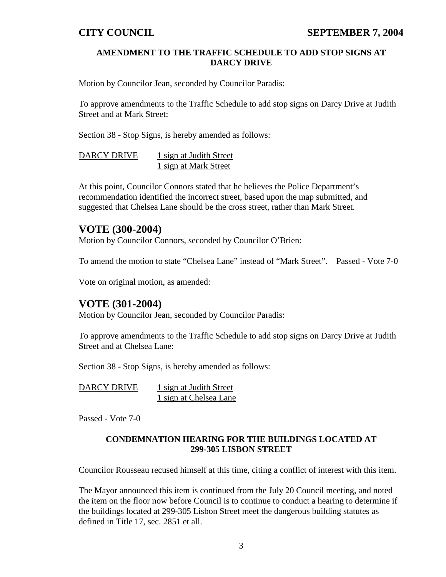### **AMENDMENT TO THE TRAFFIC SCHEDULE TO ADD STOP SIGNS AT DARCY DRIVE**

Motion by Councilor Jean, seconded by Councilor Paradis:

To approve amendments to the Traffic Schedule to add stop signs on Darcy Drive at Judith Street and at Mark Street:

Section 38 - Stop Signs, is hereby amended as follows:

DARCY DRIVE 1 sign at Judith Street 1 sign at Mark Street

At this point, Councilor Connors stated that he believes the Police Department's recommendation identified the incorrect street, based upon the map submitted, and suggested that Chelsea Lane should be the cross street, rather than Mark Street.

# **VOTE (300-2004)**

Motion by Councilor Connors, seconded by Councilor O'Brien:

To amend the motion to state "Chelsea Lane" instead of "Mark Street". Passed - Vote 7-0

Vote on original motion, as amended:

## **VOTE (301-2004)**

Motion by Councilor Jean, seconded by Councilor Paradis:

To approve amendments to the Traffic Schedule to add stop signs on Darcy Drive at Judith Street and at Chelsea Lane:

Section 38 - Stop Signs, is hereby amended as follows:

| DARCY DRIVE | 1 sign at Judith Street |
|-------------|-------------------------|
|             | 1 sign at Chelsea Lane  |

Passed - Vote 7-0

### **CONDEMNATION HEARING FOR THE BUILDINGS LOCATED AT 299-305 LISBON STREET**

Councilor Rousseau recused himself at this time, citing a conflict of interest with this item.

The Mayor announced this item is continued from the July 20 Council meeting, and noted the item on the floor now before Council is to continue to conduct a hearing to determine if the buildings located at 299-305 Lisbon Street meet the dangerous building statutes as defined in Title 17, sec. 2851 et all.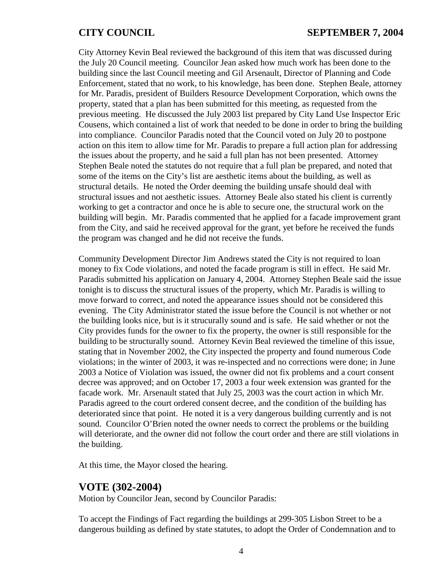City Attorney Kevin Beal reviewed the background of this item that was discussed during the July 20 Council meeting. Councilor Jean asked how much work has been done to the building since the last Council meeting and Gil Arsenault, Director of Planning and Code Enforcement, stated that no work, to his knowledge, has been done. Stephen Beale, attorney for Mr. Paradis, president of Builders Resource Development Corporation, which owns the property, stated that a plan has been submitted for this meeting, as requested from the previous meeting. He discussed the July 2003 list prepared by City Land Use Inspector Eric Cousens, which contained a list of work that needed to be done in order to bring the building into compliance. Councilor Paradis noted that the Council voted on July 20 to postpone action on this item to allow time for Mr. Paradis to prepare a full action plan for addressing the issues about the property, and he said a full plan has not been presented. Attorney Stephen Beale noted the statutes do not require that a full plan be prepared, and noted that some of the items on the City's list are aesthetic items about the building, as well as structural details. He noted the Order deeming the building unsafe should deal with structural issues and not aesthetic issues. Attorney Beale also stated his client is currently working to get a contractor and once he is able to secure one, the structural work on the building will begin. Mr. Paradis commented that he applied for a facade improvement grant from the City, and said he received approval for the grant, yet before he received the funds the program was changed and he did not receive the funds.

Community Development Director Jim Andrews stated the City is not required to loan money to fix Code violations, and noted the facade program is still in effect. He said Mr. Paradis submitted his application on January 4, 2004. Attorney Stephen Beale said the issue tonight is to discuss the structural issues of the property, which Mr. Paradis is willing to move forward to correct, and noted the appearance issues should not be considered this evening. The City Administrator stated the issue before the Council is not whether or not the building looks nice, but is it strucurally sound and is safe. He said whether or not the City provides funds for the owner to fix the property, the owner is still responsible for the building to be structurally sound. Attorney Kevin Beal reviewed the timeline of this issue, stating that in November 2002, the City inspected the property and found numerous Code violations; in the winter of 2003, it was re-inspected and no corrections were done; in June 2003 a Notice of Violation was issued, the owner did not fix problems and a court consent decree was approved; and on October 17, 2003 a four week extension was granted for the facade work. Mr. Arsenault stated that July 25, 2003 was the court action in which Mr. Paradis agreed to the court ordered consent decree, and the condition of the building has deteriorated since that point. He noted it is a very dangerous building currently and is not sound. Councilor O'Brien noted the owner needs to correct the problems or the building will deteriorate, and the owner did not follow the court order and there are still violations in the building.

At this time, the Mayor closed the hearing.

## **VOTE (302-2004)**

Motion by Councilor Jean, second by Councilor Paradis:

To accept the Findings of Fact regarding the buildings at 299-305 Lisbon Street to be a dangerous building as defined by state statutes, to adopt the Order of Condemnation and to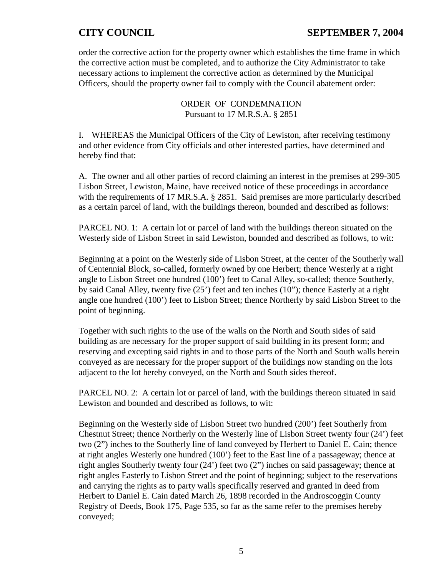# **CITY COUNCIL SEPTEMBER 7, 2004**

order the corrective action for the property owner which establishes the time frame in which the corrective action must be completed, and to authorize the City Administrator to take necessary actions to implement the corrective action as determined by the Municipal Officers, should the property owner fail to comply with the Council abatement order:

> ORDER OF CONDEMNATION Pursuant to 17 M.R.S.A. § 2851

I. WHEREAS the Municipal Officers of the City of Lewiston, after receiving testimony and other evidence from City officials and other interested parties, have determined and hereby find that:

A. The owner and all other parties of record claiming an interest in the premises at 299-305 Lisbon Street, Lewiston, Maine, have received notice of these proceedings in accordance with the requirements of 17 MR.S.A. § 2851. Said premises are more particularly described as a certain parcel of land, with the buildings thereon, bounded and described as follows:

PARCEL NO. 1: A certain lot or parcel of land with the buildings thereon situated on the Westerly side of Lisbon Street in said Lewiston, bounded and described as follows, to wit:

Beginning at a point on the Westerly side of Lisbon Street, at the center of the Southerly wall of Centennial Block, so-called, formerly owned by one Herbert; thence Westerly at a right angle to Lisbon Street one hundred (100') feet to Canal Alley, so-called; thence Southerly, by said Canal Alley, twenty five (25') feet and ten inches (10"); thence Easterly at a right angle one hundred (100') feet to Lisbon Street; thence Northerly by said Lisbon Street to the point of beginning.

Together with such rights to the use of the walls on the North and South sides of said building as are necessary for the proper support of said building in its present form; and reserving and excepting said rights in and to those parts of the North and South walls herein conveyed as are necessary for the proper support of the buildings now standing on the lots adjacent to the lot hereby conveyed, on the North and South sides thereof.

PARCEL NO. 2: A certain lot or parcel of land, with the buildings thereon situated in said Lewiston and bounded and described as follows, to wit:

Beginning on the Westerly side of Lisbon Street two hundred (200') feet Southerly from Chestnut Street; thence Northerly on the Westerly line of Lisbon Street twenty four (24') feet two (2") inches to the Southerly line of land conveyed by Herbert to Daniel E. Cain; thence at right angles Westerly one hundred (100') feet to the East line of a passageway; thence at right angles Southerly twenty four (24') feet two (2") inches on said passageway; thence at right angles Easterly to Lisbon Street and the point of beginning; subject to the reservations and carrying the rights as to party walls specifically reserved and granted in deed from Herbert to Daniel E. Cain dated March 26, 1898 recorded in the Androscoggin County Registry of Deeds, Book 175, Page 535, so far as the same refer to the premises hereby conveyed;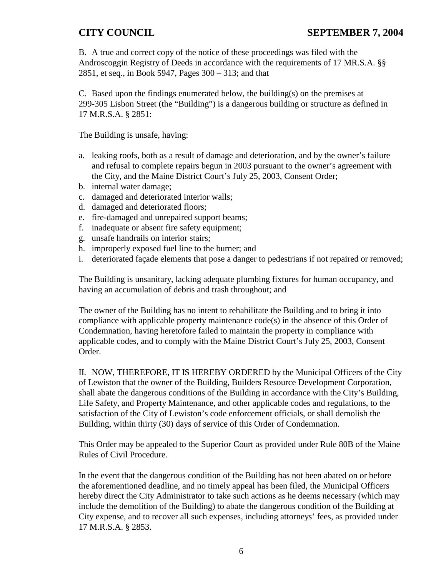B. A true and correct copy of the notice of these proceedings was filed with the Androscoggin Registry of Deeds in accordance with the requirements of 17 MR.S.A. §§ 2851, et seq., in Book 5947, Pages 300 – 313; and that

C. Based upon the findings enumerated below, the building(s) on the premises at 299-305 Lisbon Street (the "Building") is a dangerous building or structure as defined in 17 M.R.S.A. § 2851:

The Building is unsafe, having:

- a. leaking roofs, both as a result of damage and deterioration, and by the owner's failure and refusal to complete repairs begun in 2003 pursuant to the owner's agreement with the City, and the Maine District Court's July 25, 2003, Consent Order;
- b. internal water damage;
- c. damaged and deteriorated interior walls;
- d. damaged and deteriorated floors;
- e. fire-damaged and unrepaired support beams;
- f. inadequate or absent fire safety equipment;
- g. unsafe handrails on interior stairs;
- h. improperly exposed fuel line to the burner; and
- i. deteriorated façade elements that pose a danger to pedestrians if not repaired or removed;

The Building is unsanitary, lacking adequate plumbing fixtures for human occupancy, and having an accumulation of debris and trash throughout; and

The owner of the Building has no intent to rehabilitate the Building and to bring it into compliance with applicable property maintenance code(s) in the absence of this Order of Condemnation, having heretofore failed to maintain the property in compliance with applicable codes, and to comply with the Maine District Court's July 25, 2003, Consent Order.

II. NOW, THEREFORE, IT IS HEREBY ORDERED by the Municipal Officers of the City of Lewiston that the owner of the Building, Builders Resource Development Corporation, shall abate the dangerous conditions of the Building in accordance with the City's Building, Life Safety, and Property Maintenance, and other applicable codes and regulations, to the satisfaction of the City of Lewiston's code enforcement officials, or shall demolish the Building, within thirty (30) days of service of this Order of Condemnation.

This Order may be appealed to the Superior Court as provided under Rule 80B of the Maine Rules of Civil Procedure.

In the event that the dangerous condition of the Building has not been abated on or before the aforementioned deadline, and no timely appeal has been filed, the Municipal Officers hereby direct the City Administrator to take such actions as he deems necessary (which may include the demolition of the Building) to abate the dangerous condition of the Building at City expense, and to recover all such expenses, including attorneys' fees, as provided under 17 M.R.S.A. § 2853.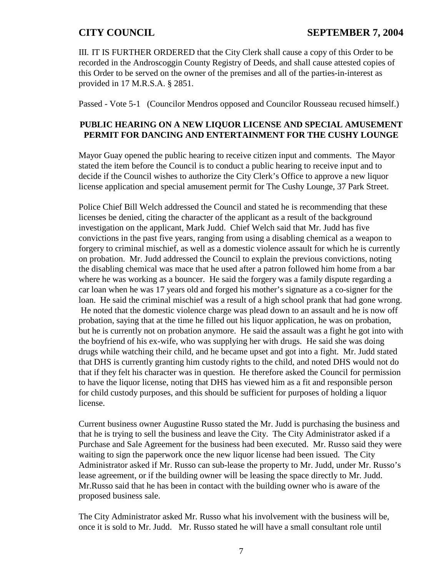III. IT IS FURTHER ORDERED that the City Clerk shall cause a copy of this Order to be recorded in the Androscoggin County Registry of Deeds, and shall cause attested copies of this Order to be served on the owner of the premises and all of the parties-in-interest as provided in 17 M.R.S.A. § 2851.

Passed - Vote 5-1 (Councilor Mendros opposed and Councilor Rousseau recused himself.)

### **PUBLIC HEARING ON A NEW LIQUOR LICENSE AND SPECIAL AMUSEMENT PERMIT FOR DANCING AND ENTERTAINMENT FOR THE CUSHY LOUNGE**

Mayor Guay opened the public hearing to receive citizen input and comments. The Mayor stated the item before the Council is to conduct a public hearing to receive input and to decide if the Council wishes to authorize the City Clerk's Office to approve a new liquor license application and special amusement permit for The Cushy Lounge, 37 Park Street.

Police Chief Bill Welch addressed the Council and stated he is recommending that these licenses be denied, citing the character of the applicant as a result of the background investigation on the applicant, Mark Judd. Chief Welch said that Mr. Judd has five convictions in the past five years, ranging from using a disabling chemical as a weapon to forgery to criminal mischief, as well as a domestic violence assault for which he is currently on probation. Mr. Judd addressed the Council to explain the previous convictions, noting the disabling chemical was mace that he used after a patron followed him home from a bar where he was working as a bouncer. He said the forgery was a family dispute regarding a car loan when he was 17 years old and forged his mother's signature as a co-signer for the loan. He said the criminal mischief was a result of a high school prank that had gone wrong. He noted that the domestic violence charge was plead down to an assault and he is now off probation, saying that at the time he filled out his liquor application, he was on probation, but he is currently not on probation anymore. He said the assault was a fight he got into with the boyfriend of his ex-wife, who was supplying her with drugs. He said she was doing drugs while watching their child, and he became upset and got into a fight. Mr. Judd stated that DHS is currently granting him custody rights to the child, and noted DHS would not do that if they felt his character was in question. He therefore asked the Council for permission to have the liquor license, noting that DHS has viewed him as a fit and responsible person for child custody purposes, and this should be sufficient for purposes of holding a liquor license.

Current business owner Augustine Russo stated the Mr. Judd is purchasing the business and that he is trying to sell the business and leave the City. The City Administrator asked if a Purchase and Sale Agreement for the business had been executed. Mr. Russo said they were waiting to sign the paperwork once the new liquor license had been issued. The City Administrator asked if Mr. Russo can sub-lease the property to Mr. Judd, under Mr. Russo's lease agreement, or if the building owner will be leasing the space directly to Mr. Judd. Mr.Russo said that he has been in contact with the building owner who is aware of the proposed business sale.

The City Administrator asked Mr. Russo what his involvement with the business will be, once it is sold to Mr. Judd. Mr. Russo stated he will have a small consultant role until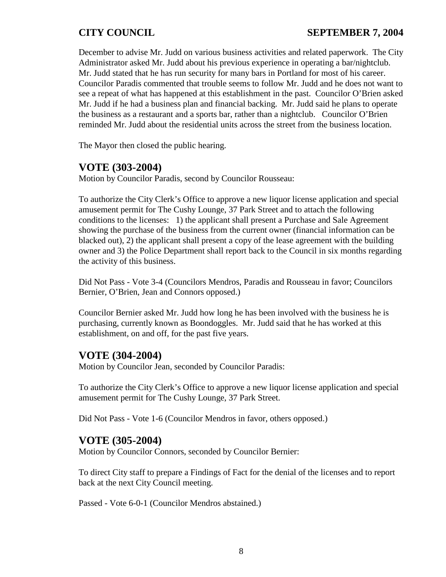# **CITY COUNCIL SEPTEMBER 7, 2004**

December to advise Mr. Judd on various business activities and related paperwork. The City Administrator asked Mr. Judd about his previous experience in operating a bar/nightclub. Mr. Judd stated that he has run security for many bars in Portland for most of his career. Councilor Paradis commented that trouble seems to follow Mr. Judd and he does not want to see a repeat of what has happened at this establishment in the past. Councilor O'Brien asked Mr. Judd if he had a business plan and financial backing. Mr. Judd said he plans to operate the business as a restaurant and a sports bar, rather than a nightclub. Councilor O'Brien reminded Mr. Judd about the residential units across the street from the business location.

The Mayor then closed the public hearing.

## **VOTE (303-2004)**

Motion by Councilor Paradis, second by Councilor Rousseau:

To authorize the City Clerk's Office to approve a new liquor license application and special amusement permit for The Cushy Lounge, 37 Park Street and to attach the following conditions to the licenses: 1) the applicant shall present a Purchase and Sale Agreement showing the purchase of the business from the current owner (financial information can be blacked out), 2) the applicant shall present a copy of the lease agreement with the building owner and 3) the Police Department shall report back to the Council in six months regarding the activity of this business.

Did Not Pass - Vote 3-4 (Councilors Mendros, Paradis and Rousseau in favor; Councilors Bernier, O'Brien, Jean and Connors opposed.)

Councilor Bernier asked Mr. Judd how long he has been involved with the business he is purchasing, currently known as Boondoggles. Mr. Judd said that he has worked at this establishment, on and off, for the past five years.

## **VOTE (304-2004)**

Motion by Councilor Jean, seconded by Councilor Paradis:

To authorize the City Clerk's Office to approve a new liquor license application and special amusement permit for The Cushy Lounge, 37 Park Street.

Did Not Pass - Vote 1-6 (Councilor Mendros in favor, others opposed.)

## **VOTE (305-2004)**

Motion by Councilor Connors, seconded by Councilor Bernier:

To direct City staff to prepare a Findings of Fact for the denial of the licenses and to report back at the next City Council meeting.

Passed - Vote 6-0-1 (Councilor Mendros abstained.)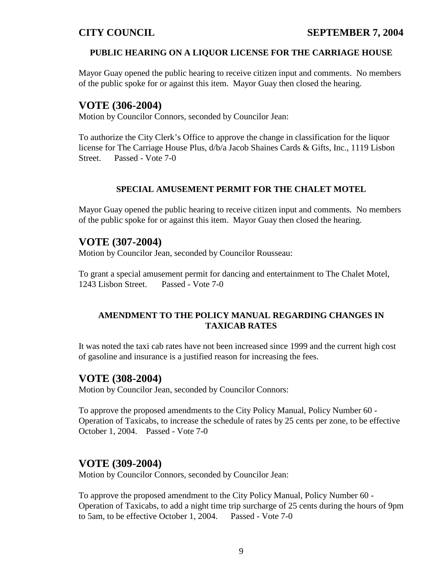## **PUBLIC HEARING ON A LIQUOR LICENSE FOR THE CARRIAGE HOUSE**

Mayor Guay opened the public hearing to receive citizen input and comments. No members of the public spoke for or against this item. Mayor Guay then closed the hearing.

# **VOTE (306-2004)**

Motion by Councilor Connors, seconded by Councilor Jean:

To authorize the City Clerk's Office to approve the change in classification for the liquor license for The Carriage House Plus, d/b/a Jacob Shaines Cards & Gifts, Inc., 1119 Lisbon Street. Passed - Vote 7-0

### **SPECIAL AMUSEMENT PERMIT FOR THE CHALET MOTEL**

Mayor Guay opened the public hearing to receive citizen input and comments. No members of the public spoke for or against this item. Mayor Guay then closed the hearing.

# **VOTE (307-2004)**

Motion by Councilor Jean, seconded by Councilor Rousseau:

To grant a special amusement permit for dancing and entertainment to The Chalet Motel, 1243 Lisbon Street. Passed - Vote 7-0

### **AMENDMENT TO THE POLICY MANUAL REGARDING CHANGES IN TAXICAB RATES**

It was noted the taxi cab rates have not been increased since 1999 and the current high cost of gasoline and insurance is a justified reason for increasing the fees.

## **VOTE (308-2004)**

Motion by Councilor Jean, seconded by Councilor Connors:

To approve the proposed amendments to the City Policy Manual, Policy Number 60 - Operation of Taxicabs, to increase the schedule of rates by 25 cents per zone, to be effective October 1, 2004. Passed - Vote 7-0

# **VOTE (309-2004)**

Motion by Councilor Connors, seconded by Councilor Jean:

To approve the proposed amendment to the City Policy Manual, Policy Number 60 - Operation of Taxicabs, to add a night time trip surcharge of 25 cents during the hours of 9pm to 5am, to be effective October 1, 2004. Passed - Vote 7-0